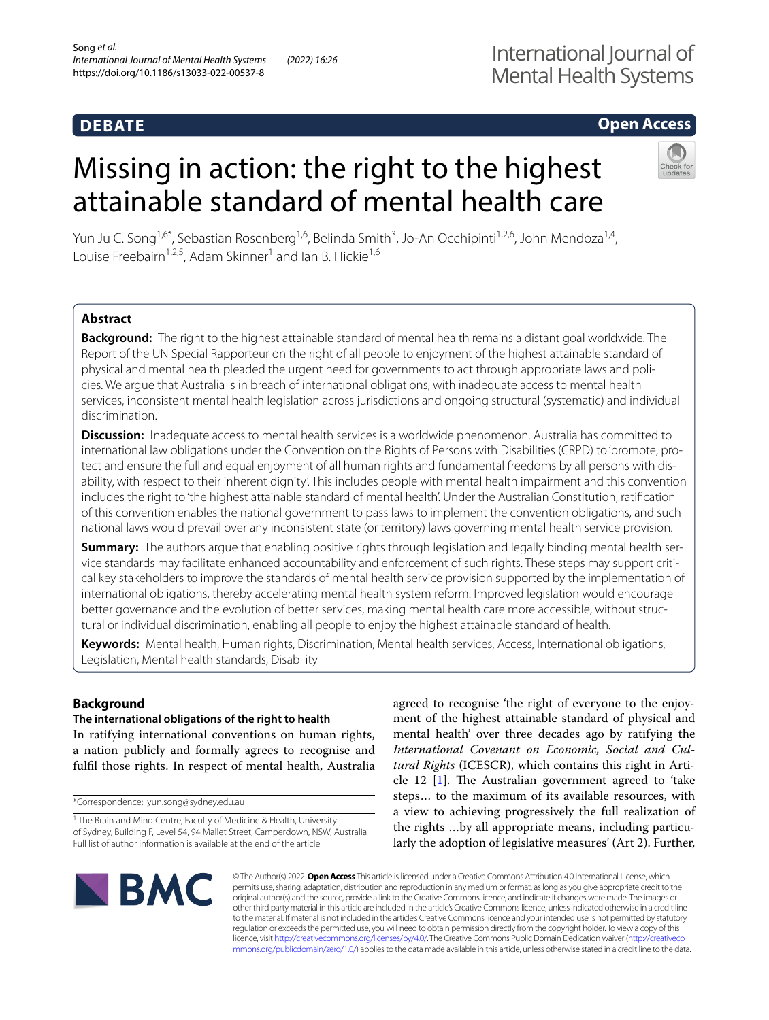# **DEBATE**

## **Open Access**

# Missing in action: the right to the highest attainable standard of mental health care



Yun Ju C. Song<sup>1,6\*</sup>, Sebastian Rosenberg<sup>1,6</sup>, Belinda Smith<sup>3</sup>, Jo-An Occhipinti<sup>1,2,6</sup>, John Mendoza<sup>1,4</sup>, Louise Freebairn<sup>1,2,5</sup>, Adam Skinner<sup>1</sup> and Ian B. Hickie<sup>1,6</sup>

## **Abstract**

**Background:** The right to the highest attainable standard of mental health remains a distant goal worldwide. The Report of the UN Special Rapporteur on the right of all people to enjoyment of the highest attainable standard of physical and mental health pleaded the urgent need for governments to act through appropriate laws and policies. We argue that Australia is in breach of international obligations, with inadequate access to mental health services, inconsistent mental health legislation across jurisdictions and ongoing structural (systematic) and individual discrimination.

**Discussion:** Inadequate access to mental health services is a worldwide phenomenon. Australia has committed to international law obligations under the Convention on the Rights of Persons with Disabilities (CRPD) to 'promote, protect and ensure the full and equal enjoyment of all human rights and fundamental freedoms by all persons with disability, with respect to their inherent dignity'. This includes people with mental health impairment and this convention includes the right to 'the highest attainable standard of mental health'. Under the Australian Constitution, ratifcation of this convention enables the national government to pass laws to implement the convention obligations, and such national laws would prevail over any inconsistent state (or territory) laws governing mental health service provision.

**Summary:** The authors argue that enabling positive rights through legislation and legally binding mental health service standards may facilitate enhanced accountability and enforcement of such rights. These steps may support critical key stakeholders to improve the standards of mental health service provision supported by the implementation of international obligations, thereby accelerating mental health system reform. Improved legislation would encourage better governance and the evolution of better services, making mental health care more accessible, without structural or individual discrimination, enabling all people to enjoy the highest attainable standard of health.

**Keywords:** Mental health, Human rights, Discrimination, Mental health services, Access, International obligations, Legislation, Mental health standards, Disability

## **Background**

# **The international obligations of the right to health**

In ratifying international conventions on human rights, a nation publicly and formally agrees to recognise and fulfl those rights. In respect of mental health, Australia

\*Correspondence: yun.song@sydney.edu.au

agreed to recognise 'the right of everyone to the enjoyment of the highest attainable standard of physical and mental health' over three decades ago by ratifying the *International Covenant on Economic, Social and Cultural Rights* (ICESCR), which contains this right in Article 12  $[1]$  $[1]$ . The Australian government agreed to 'take steps… to the maximum of its available resources, with a view to achieving progressively the full realization of the rights …by all appropriate means, including particularly the adoption of legislative measures' (Art 2). Further,



© The Author(s) 2022. **Open Access** This article is licensed under a Creative Commons Attribution 4.0 International License, which permits use, sharing, adaptation, distribution and reproduction in any medium or format, as long as you give appropriate credit to the original author(s) and the source, provide a link to the Creative Commons licence, and indicate if changes were made. The images or other third party material in this article are included in the article's Creative Commons licence, unless indicated otherwise in a credit line to the material. If material is not included in the article's Creative Commons licence and your intended use is not permitted by statutory regulation or exceeds the permitted use, you will need to obtain permission directly from the copyright holder. To view a copy of this licence, visit [http://creativecommons.org/licenses/by/4.0/.](http://creativecommons.org/licenses/by/4.0/) The Creative Commons Public Domain Dedication waiver ([http://creativeco](http://creativecommons.org/publicdomain/zero/1.0/) [mmons.org/publicdomain/zero/1.0/](http://creativecommons.org/publicdomain/zero/1.0/)) applies to the data made available in this article, unless otherwise stated in a credit line to the data.

<sup>&</sup>lt;sup>1</sup> The Brain and Mind Centre, Faculty of Medicine & Health, University of Sydney, Building F, Level 54, 94 Mallet Street, Camperdown, NSW, Australia Full list of author information is available at the end of the article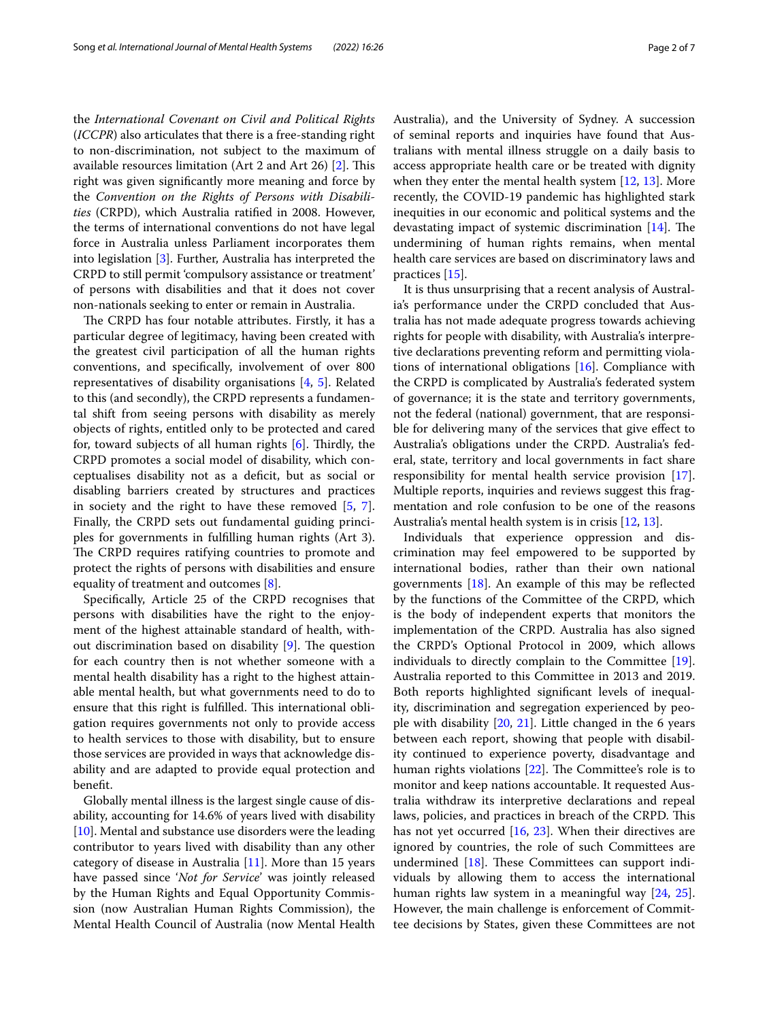the *International Covenant on Civil and Political Rights*  (*ICCPR*) also articulates that there is a free-standing right to non-discrimination, not subject to the maximum of available resources limitation (Art 2 and Art 26)  $[2]$ . This right was given signifcantly more meaning and force by the *Convention on the Rights of Persons with Disabilities* (CRPD), which Australia ratifed in 2008. However, the terms of international conventions do not have legal force in Australia unless Parliament incorporates them into legislation [[3\]](#page-5-2). Further, Australia has interpreted the CRPD to still permit 'compulsory assistance or treatment' of persons with disabilities and that it does not cover non-nationals seeking to enter or remain in Australia.

The CRPD has four notable attributes. Firstly, it has a particular degree of legitimacy, having been created with the greatest civil participation of all the human rights conventions, and specifcally, involvement of over 800 representatives of disability organisations [\[4](#page-5-3), [5](#page-5-4)]. Related to this (and secondly), the CRPD represents a fundamental shift from seeing persons with disability as merely objects of rights, entitled only to be protected and cared for, toward subjects of all human rights  $[6]$ . Thirdly, the CRPD promotes a social model of disability, which conceptualises disability not as a defcit, but as social or disabling barriers created by structures and practices in society and the right to have these removed [[5,](#page-5-4) [7](#page-5-6)]. Finally, the CRPD sets out fundamental guiding principles for governments in fulflling human rights (Art 3). The CRPD requires ratifying countries to promote and protect the rights of persons with disabilities and ensure equality of treatment and outcomes [\[8](#page-5-7)].

Specifcally, Article 25 of the CRPD recognises that persons with disabilities have the right to the enjoyment of the highest attainable standard of health, without discrimination based on disability  $[9]$  $[9]$ . The question for each country then is not whether someone with a mental health disability has a right to the highest attainable mental health, but what governments need to do to ensure that this right is fulfilled. This international obligation requires governments not only to provide access to health services to those with disability, but to ensure those services are provided in ways that acknowledge disability and are adapted to provide equal protection and beneft.

Globally mental illness is the largest single cause of disability, accounting for 14.6% of years lived with disability [[10\]](#page-5-9). Mental and substance use disorders were the leading contributor to years lived with disability than any other category of disease in Australia [[11\]](#page-5-10). More than 15 years have passed since '*Not for Service*' was jointly released by the Human Rights and Equal Opportunity Commission (now Australian Human Rights Commission), the Mental Health Council of Australia (now Mental Health Australia), and the University of Sydney. A succession of seminal reports and inquiries have found that Australians with mental illness struggle on a daily basis to access appropriate health care or be treated with dignity when they enter the mental health system  $[12, 13]$  $[12, 13]$  $[12, 13]$  $[12, 13]$ . More recently, the COVID-19 pandemic has highlighted stark inequities in our economic and political systems and the devastating impact of systemic discrimination  $[14]$  $[14]$ . The undermining of human rights remains, when mental health care services are based on discriminatory laws and practices [[15\]](#page-5-14).

It is thus unsurprising that a recent analysis of Australia's performance under the CRPD concluded that Australia has not made adequate progress towards achieving rights for people with disability, with Australia's interpretive declarations preventing reform and permitting violations of international obligations [[16](#page-5-15)]. Compliance with the CRPD is complicated by Australia's federated system of governance; it is the state and territory governments, not the federal (national) government, that are responsible for delivering many of the services that give efect to Australia's obligations under the CRPD. Australia's federal, state, territory and local governments in fact share responsibility for mental health service provision [\[17](#page-5-16)]. Multiple reports, inquiries and reviews suggest this fragmentation and role confusion to be one of the reasons Australia's mental health system is in crisis [[12,](#page-5-11) [13\]](#page-5-12).

Individuals that experience oppression and discrimination may feel empowered to be supported by international bodies, rather than their own national governments  $[18]$ . An example of this may be reflected by the functions of the Committee of the CRPD, which is the body of independent experts that monitors the implementation of the CRPD. Australia has also signed the CRPD's Optional Protocol in 2009, which allows individuals to directly complain to the Committee [\[19](#page-5-18)]. Australia reported to this Committee in 2013 and 2019. Both reports highlighted signifcant levels of inequality, discrimination and segregation experienced by people with disability [\[20](#page-5-19), [21](#page-5-20)]. Little changed in the 6 years between each report, showing that people with disability continued to experience poverty, disadvantage and human rights violations  $[22]$  $[22]$ . The Committee's role is to monitor and keep nations accountable. It requested Australia withdraw its interpretive declarations and repeal laws, policies, and practices in breach of the CRPD. This has not yet occurred [[16,](#page-5-15) [23](#page-6-0)]. When their directives are ignored by countries, the role of such Committees are undermined  $[18]$  $[18]$  $[18]$ . These Committees can support individuals by allowing them to access the international human rights law system in a meaningful way [\[24](#page-6-1), [25](#page-6-2)]. However, the main challenge is enforcement of Committee decisions by States, given these Committees are not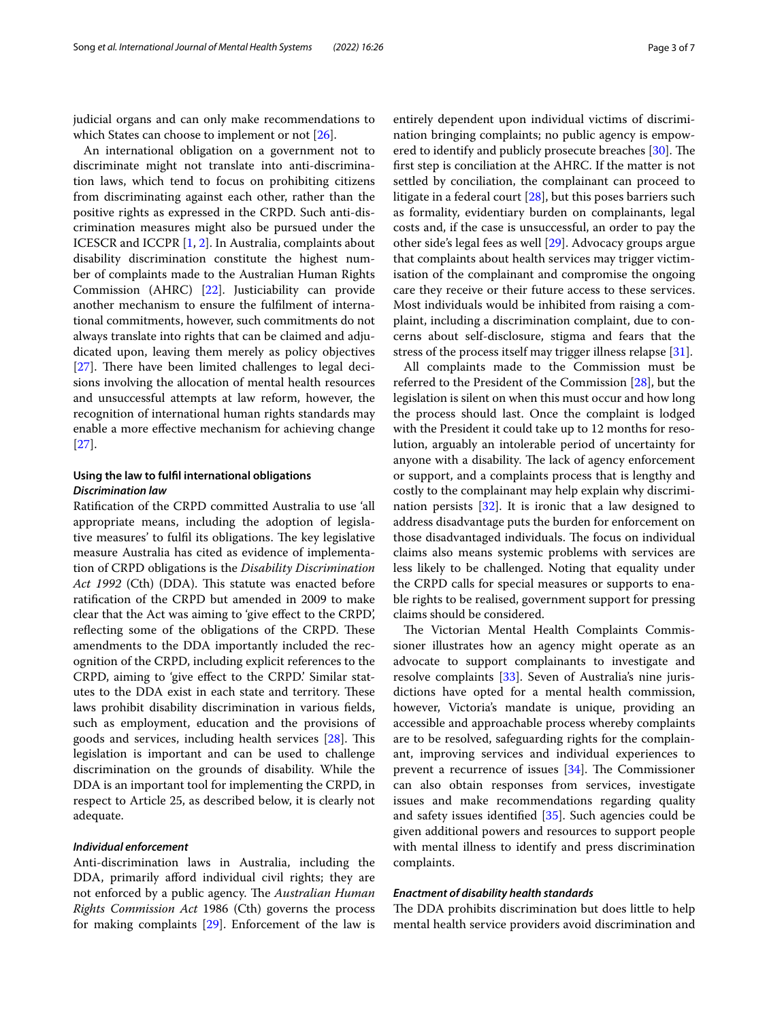judicial organs and can only make recommendations to which States can choose to implement or not [[26\]](#page-6-3).

An international obligation on a government not to discriminate might not translate into anti-discrimination laws, which tend to focus on prohibiting citizens from discriminating against each other, rather than the positive rights as expressed in the CRPD. Such anti-discrimination measures might also be pursued under the ICESCR and ICCPR [[1,](#page-5-0) [2](#page-5-1)]. In Australia, complaints about disability discrimination constitute the highest number of complaints made to the Australian Human Rights Commission (AHRC) [\[22](#page-5-21)]. Justiciability can provide another mechanism to ensure the fulflment of international commitments, however, such commitments do not always translate into rights that can be claimed and adjudicated upon, leaving them merely as policy objectives  $[27]$  $[27]$ . There have been limited challenges to legal decisions involving the allocation of mental health resources and unsuccessful attempts at law reform, however, the recognition of international human rights standards may enable a more efective mechanism for achieving change [[27\]](#page-6-4).

## **Using the law to fulfl international obligations** *Discrimination law*

Ratifcation of the CRPD committed Australia to use 'all appropriate means, including the adoption of legislative measures' to fulfil its obligations. The key legislative measure Australia has cited as evidence of implementation of CRPD obligations is the *Disability Discrimination*  Act 1992 (Cth) (DDA). This statute was enacted before ratifcation of the CRPD but amended in 2009 to make clear that the Act was aiming to 'give efect to the CRPD', reflecting some of the obligations of the CRPD. These amendments to the DDA importantly included the recognition of the CRPD, including explicit references to the CRPD, aiming to 'give efect to the CRPD.' Similar statutes to the DDA exist in each state and territory. These laws prohibit disability discrimination in various felds, such as employment, education and the provisions of goods and services, including health services [[28\]](#page-6-5). This legislation is important and can be used to challenge discrimination on the grounds of disability. While the DDA is an important tool for implementing the CRPD, in respect to Article 25, as described below, it is clearly not adequate.

#### *Individual enforcement*

Anti-discrimination laws in Australia, including the DDA, primarily afford individual civil rights; they are not enforced by a public agency. The *Australian Human Rights Commission Act* 1986 (Cth) governs the process for making complaints [[29\]](#page-6-6). Enforcement of the law is entirely dependent upon individual victims of discrimination bringing complaints; no public agency is empow-ered to identify and publicly prosecute breaches [[30](#page-6-7)]. The frst step is conciliation at the AHRC. If the matter is not settled by conciliation, the complainant can proceed to litigate in a federal court [[28](#page-6-5)], but this poses barriers such as formality, evidentiary burden on complainants, legal costs and, if the case is unsuccessful, an order to pay the other side's legal fees as well [\[29\]](#page-6-6). Advocacy groups argue that complaints about health services may trigger victimisation of the complainant and compromise the ongoing care they receive or their future access to these services. Most individuals would be inhibited from raising a complaint, including a discrimination complaint, due to concerns about self-disclosure, stigma and fears that the stress of the process itself may trigger illness relapse [[31](#page-6-8)].

All complaints made to the Commission must be referred to the President of the Commission [\[28](#page-6-5)], but the legislation is silent on when this must occur and how long the process should last. Once the complaint is lodged with the President it could take up to 12 months for resolution, arguably an intolerable period of uncertainty for anyone with a disability. The lack of agency enforcement or support, and a complaints process that is lengthy and costly to the complainant may help explain why discrimination persists [[32\]](#page-6-9). It is ironic that a law designed to address disadvantage puts the burden for enforcement on those disadvantaged individuals. The focus on individual claims also means systemic problems with services are less likely to be challenged. Noting that equality under the CRPD calls for special measures or supports to enable rights to be realised, government support for pressing claims should be considered.

The Victorian Mental Health Complaints Commissioner illustrates how an agency might operate as an advocate to support complainants to investigate and resolve complaints [[33\]](#page-6-10). Seven of Australia's nine jurisdictions have opted for a mental health commission, however, Victoria's mandate is unique, providing an accessible and approachable process whereby complaints are to be resolved, safeguarding rights for the complainant, improving services and individual experiences to prevent a recurrence of issues  $[34]$  $[34]$ . The Commissioner can also obtain responses from services, investigate issues and make recommendations regarding quality and safety issues identifed [[35\]](#page-6-12). Such agencies could be given additional powers and resources to support people with mental illness to identify and press discrimination complaints.

#### *Enactment of disability health standards*

The DDA prohibits discrimination but does little to help mental health service providers avoid discrimination and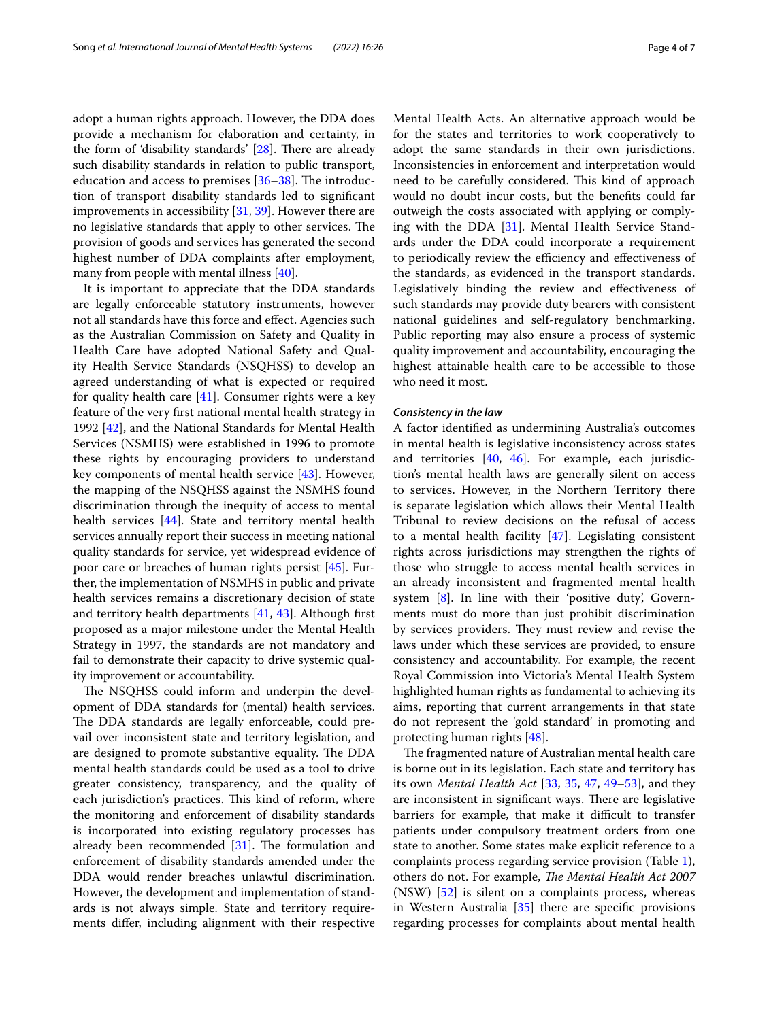adopt a human rights approach. However, the DDA does provide a mechanism for elaboration and certainty, in the form of 'disability standards'  $[28]$  $[28]$ . There are already such disability standards in relation to public transport, education and access to premises  $[36-38]$  $[36-38]$  $[36-38]$ . The introduction of transport disability standards led to signifcant improvements in accessibility [[31,](#page-6-8) [39](#page-6-15)]. However there are no legislative standards that apply to other services. The provision of goods and services has generated the second highest number of DDA complaints after employment, many from people with mental illness [[40\]](#page-6-16).

It is important to appreciate that the DDA standards are legally enforceable statutory instruments, however not all standards have this force and efect. Agencies such as the Australian Commission on Safety and Quality in Health Care have adopted National Safety and Quality Health Service Standards (NSQHSS) to develop an agreed understanding of what is expected or required for quality health care [[41\]](#page-6-17). Consumer rights were a key feature of the very frst national mental health strategy in 1992 [\[42](#page-6-18)], and the National Standards for Mental Health Services (NSMHS) were established in 1996 to promote these rights by encouraging providers to understand key components of mental health service [[43\]](#page-6-19). However, the mapping of the NSQHSS against the NSMHS found discrimination through the inequity of access to mental health services [\[44](#page-6-20)]. State and territory mental health services annually report their success in meeting national quality standards for service, yet widespread evidence of poor care or breaches of human rights persist [[45\]](#page-6-21). Further, the implementation of NSMHS in public and private health services remains a discretionary decision of state and territory health departments [\[41](#page-6-17), [43](#page-6-19)]. Although frst proposed as a major milestone under the Mental Health Strategy in 1997, the standards are not mandatory and fail to demonstrate their capacity to drive systemic quality improvement or accountability.

The NSQHSS could inform and underpin the development of DDA standards for (mental) health services. The DDA standards are legally enforceable, could prevail over inconsistent state and territory legislation, and are designed to promote substantive equality. The DDA mental health standards could be used as a tool to drive greater consistency, transparency, and the quality of each jurisdiction's practices. This kind of reform, where the monitoring and enforcement of disability standards is incorporated into existing regulatory processes has already been recommended  $[31]$  $[31]$ . The formulation and enforcement of disability standards amended under the DDA would render breaches unlawful discrimination. However, the development and implementation of standards is not always simple. State and territory requirements difer, including alignment with their respective Mental Health Acts. An alternative approach would be for the states and territories to work cooperatively to adopt the same standards in their own jurisdictions. Inconsistencies in enforcement and interpretation would need to be carefully considered. This kind of approach would no doubt incur costs, but the benefts could far outweigh the costs associated with applying or complying with the DDA [\[31](#page-6-8)]. Mental Health Service Standards under the DDA could incorporate a requirement to periodically review the efficiency and effectiveness of the standards, as evidenced in the transport standards. Legislatively binding the review and efectiveness of such standards may provide duty bearers with consistent national guidelines and self-regulatory benchmarking. Public reporting may also ensure a process of systemic quality improvement and accountability, encouraging the highest attainable health care to be accessible to those who need it most.

#### *Consistency in the law*

A factor identifed as undermining Australia's outcomes in mental health is legislative inconsistency across states and territories [[40,](#page-6-16) [46](#page-6-22)]. For example, each jurisdiction's mental health laws are generally silent on access to services. However, in the Northern Territory there is separate legislation which allows their Mental Health Tribunal to review decisions on the refusal of access to a mental health facility  $[47]$  $[47]$ . Legislating consistent rights across jurisdictions may strengthen the rights of those who struggle to access mental health services in an already inconsistent and fragmented mental health system [\[8](#page-5-7)]. In line with their 'positive duty', Governments must do more than just prohibit discrimination by services providers. They must review and revise the laws under which these services are provided, to ensure consistency and accountability. For example, the recent Royal Commission into Victoria's Mental Health System highlighted human rights as fundamental to achieving its aims, reporting that current arrangements in that state do not represent the 'gold standard' in promoting and protecting human rights [[48\]](#page-6-24).

The fragmented nature of Australian mental health care is borne out in its legislation. Each state and territory has its own *Mental Health Act* [\[33](#page-6-10), [35](#page-6-12), [47,](#page-6-23) [49–](#page-6-25)[53\]](#page-6-26), and they are inconsistent in significant ways. There are legislative barriers for example, that make it difficult to transfer patients under compulsory treatment orders from one state to another. Some states make explicit reference to a complaints process regarding service provision (Table [1](#page-4-0)), others do not. For example, *The Mental Health Act 2007* (NSW) [\[52](#page-6-27)] is silent on a complaints process, whereas in Western Australia [[35\]](#page-6-12) there are specifc provisions regarding processes for complaints about mental health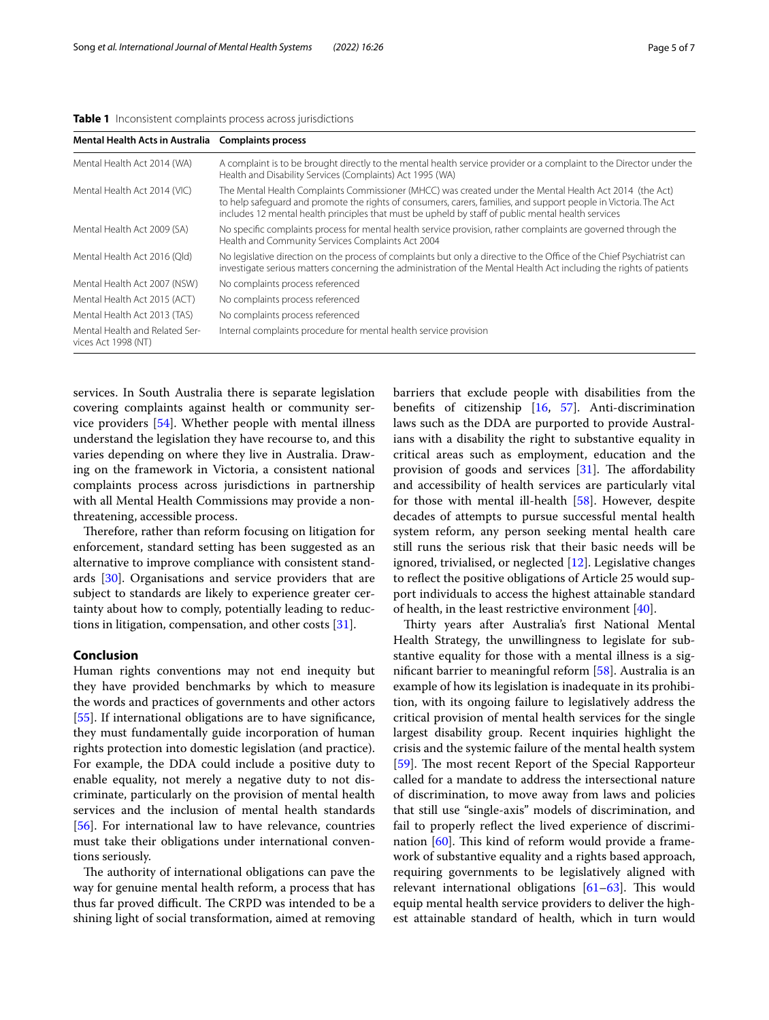<span id="page-4-0"></span>

|  | Table 1 Inconsistent complaints process across jurisdictions |  |
|--|--------------------------------------------------------------|--|
|  |                                                              |  |

| Mental Health Acts in Australia Complaints process    |                                                                                                                                                                                                                                                                                                                                   |  |  |  |
|-------------------------------------------------------|-----------------------------------------------------------------------------------------------------------------------------------------------------------------------------------------------------------------------------------------------------------------------------------------------------------------------------------|--|--|--|
| Mental Health Act 2014 (WA)                           | A complaint is to be brought directly to the mental health service provider or a complaint to the Director under the<br>Health and Disability Services (Complaints) Act 1995 (WA)                                                                                                                                                 |  |  |  |
| Mental Health Act 2014 (VIC)                          | The Mental Health Complaints Commissioner (MHCC) was created under the Mental Health Act 2014 (the Act)<br>to help safequard and promote the rights of consumers, carers, families, and support people in Victoria. The Act<br>includes 12 mental health principles that must be upheld by staff of public mental health services |  |  |  |
| Mental Health Act 2009 (SA)                           | No specific complaints process for mental health service provision, rather complaints are governed through the<br>Health and Community Services Complaints Act 2004                                                                                                                                                               |  |  |  |
| Mental Health Act 2016 (Qld)                          | No legislative direction on the process of complaints but only a directive to the Office of the Chief Psychiatrist can<br>investigate serious matters concerning the administration of the Mental Health Act including the rights of patients                                                                                     |  |  |  |
| Mental Health Act 2007 (NSW)                          | No complaints process referenced                                                                                                                                                                                                                                                                                                  |  |  |  |
| Mental Health Act 2015 (ACT)                          | No complaints process referenced                                                                                                                                                                                                                                                                                                  |  |  |  |
| Mental Health Act 2013 (TAS)                          | No complaints process referenced                                                                                                                                                                                                                                                                                                  |  |  |  |
| Mental Health and Related Ser-<br>vices Act 1998 (NT) | Internal complaints procedure for mental health service provision                                                                                                                                                                                                                                                                 |  |  |  |

services. In South Australia there is separate legislation covering complaints against health or community service providers [[54\]](#page-6-28). Whether people with mental illness understand the legislation they have recourse to, and this varies depending on where they live in Australia. Drawing on the framework in Victoria, a consistent national complaints process across jurisdictions in partnership with all Mental Health Commissions may provide a nonthreatening, accessible process.

Therefore, rather than reform focusing on litigation for enforcement, standard setting has been suggested as an alternative to improve compliance with consistent standards [\[30](#page-6-7)]. Organisations and service providers that are subject to standards are likely to experience greater certainty about how to comply, potentially leading to reductions in litigation, compensation, and other costs [[31\]](#page-6-8).

#### **Conclusion**

Human rights conventions may not end inequity but they have provided benchmarks by which to measure the words and practices of governments and other actors [[55\]](#page-6-29). If international obligations are to have significance, they must fundamentally guide incorporation of human rights protection into domestic legislation (and practice). For example, the DDA could include a positive duty to enable equality, not merely a negative duty to not discriminate, particularly on the provision of mental health services and the inclusion of mental health standards [[56\]](#page-6-30). For international law to have relevance, countries must take their obligations under international conventions seriously.

The authority of international obligations can pave the way for genuine mental health reform, a process that has thus far proved difficult. The CRPD was intended to be a shining light of social transformation, aimed at removing barriers that exclude people with disabilities from the benefts of citizenship [[16,](#page-5-15) [57](#page-6-31)]. Anti-discrimination laws such as the DDA are purported to provide Australians with a disability the right to substantive equality in critical areas such as employment, education and the provision of goods and services  $[31]$  $[31]$ . The affordability and accessibility of health services are particularly vital for those with mental ill-health [[58\]](#page-6-32). However, despite decades of attempts to pursue successful mental health system reform, any person seeking mental health care still runs the serious risk that their basic needs will be ignored, trivialised, or neglected [[12](#page-5-11)]. Legislative changes to refect the positive obligations of Article 25 would support individuals to access the highest attainable standard of health, in the least restrictive environment [[40](#page-6-16)].

Thirty years after Australia's first National Mental Health Strategy, the unwillingness to legislate for substantive equality for those with a mental illness is a signifcant barrier to meaningful reform [[58](#page-6-32)]. Australia is an example of how its legislation is inadequate in its prohibition, with its ongoing failure to legislatively address the critical provision of mental health services for the single largest disability group. Recent inquiries highlight the crisis and the systemic failure of the mental health system [[59\]](#page-6-33). The most recent Report of the Special Rapporteur called for a mandate to address the intersectional nature of discrimination, to move away from laws and policies that still use "single-axis" models of discrimination, and fail to properly refect the lived experience of discrimination  $[60]$  $[60]$ . This kind of reform would provide a framework of substantive equality and a rights based approach, requiring governments to be legislatively aligned with relevant international obligations  $[61-63]$  $[61-63]$ . This would equip mental health service providers to deliver the highest attainable standard of health, which in turn would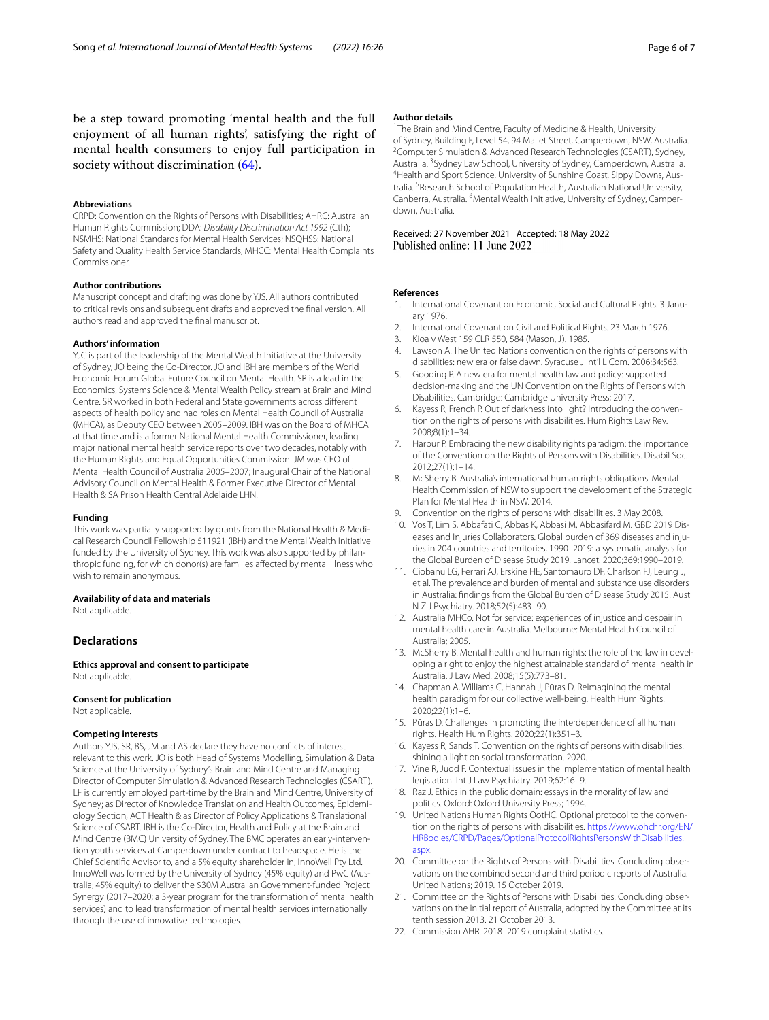be a step toward promoting 'mental health and the full enjoyment of all human rights', satisfying the right of mental health consumers to enjoy full participation in society without discrimination [\(64](#page-6-37)).

#### **Abbreviations**

CRPD: Convention on the Rights of Persons with Disabilities; AHRC: Australian Human Rights Commission; DDA: *Disability Discrimination Act 1992* (Cth); NSMHS: National Standards for Mental Health Services; NSQHSS: National Safety and Quality Health Service Standards; MHCC: Mental Health Complaints Commissioner.

#### **Author contributions**

Manuscript concept and drafting was done by YJS. All authors contributed to critical revisions and subsequent drafts and approved the fnal version. All authors read and approved the fnal manuscript.

#### **Authors' information**

YJC is part of the leadership of the Mental Wealth Initiative at the University of Sydney, JO being the Co-Director. JO and IBH are members of the World Economic Forum Global Future Council on Mental Health. SR is a lead in the Economics, Systems Science & Mental Wealth Policy stream at Brain and Mind Centre. SR worked in both Federal and State governments across diferent aspects of health policy and had roles on Mental Health Council of Australia (MHCA), as Deputy CEO between 2005–2009. IBH was on the Board of MHCA at that time and is a former National Mental Health Commissioner, leading major national mental health service reports over two decades, notably with the Human Rights and Equal Opportunities Commission. JM was CEO of Mental Health Council of Australia 2005–2007; Inaugural Chair of the National Advisory Council on Mental Health & Former Executive Director of Mental Health & SA Prison Health Central Adelaide LHN.

#### **Funding**

This work was partially supported by grants from the National Health & Medical Research Council Fellowship 511921 (IBH) and the Mental Wealth Initiative funded by the University of Sydney. This work was also supported by philanthropic funding, for which donor(s) are families afected by mental illness who wish to remain anonymous.

#### **Availability of data and materials**

Not applicable.

#### **Declarations**

**Ethics approval and consent to participate** Not applicable.

#### **Consent for publication**

Not applicable.

#### **Competing interests**

Authors YJS, SR, BS, JM and AS declare they have no conficts of interest relevant to this work. JO is both Head of Systems Modelling, Simulation & Data Science at the University of Sydney's Brain and Mind Centre and Managing Director of Computer Simulation & Advanced Research Technologies (CSART). LF is currently employed part-time by the Brain and Mind Centre, University of Sydney; as Director of Knowledge Translation and Health Outcomes, Epidemiology Section, ACT Health & as Director of Policy Applications & Translational Science of CSART. IBH is the Co-Director, Health and Policy at the Brain and Mind Centre (BMC) University of Sydney. The BMC operates an early-intervention youth services at Camperdown under contract to headspace. He is the Chief Scientifc Advisor to, and a 5% equity shareholder in, InnoWell Pty Ltd. InnoWell was formed by the University of Sydney (45% equity) and PwC (Australia; 45% equity) to deliver the \$30M Australian Government-funded Project Synergy (2017–2020; a 3-year program for the transformation of mental health services) and to lead transformation of mental health services internationally through the use of innovative technologies.

#### **Author details**

<sup>1</sup> The Brain and Mind Centre, Faculty of Medicine & Health, University of Sydney, Building F, Level 54, 94 Mallet Street, Camperdown, NSW, Australia. 2 <sup>2</sup> Computer Simulation & Advanced Research Technologies (CSART), Sydney, Australia. <sup>3</sup> Sydney Law School, University of Sydney, Camperdown, Australia.<br><sup>4</sup> Health and Sport Science University of Sunshine Coast, Sinny Downs, Aus-<sup>4</sup>Health and Sport Science, University of Sunshine Coast, Sippy Downs, Australia.<sup>5</sup> Research School of Population Health, Australian National University, Canberra, Australia. <sup>6</sup> Mental Wealth Initiative, University of Sydney, Camperdown, Australia.

# Received: 27 November 2021 Accepted: 18 May 2022

#### **References**

- <span id="page-5-0"></span>1. International Covenant on Economic, Social and Cultural Rights. 3 January 1976.
- <span id="page-5-1"></span>2. International Covenant on Civil and Political Rights. 23 March 1976.
- <span id="page-5-2"></span>3. Kioa v West 159 CLR 550, 584 (Mason, J). 1985.
- <span id="page-5-3"></span>4. Lawson A. The United Nations convention on the rights of persons with disabilities: new era or false dawn. Syracuse J Int'l L Com. 2006;34:563.
- <span id="page-5-4"></span>5. Gooding P. A new era for mental health law and policy: supported decision-making and the UN Convention on the Rights of Persons with Disabilities. Cambridge: Cambridge University Press; 2017.
- <span id="page-5-5"></span>6. Kayess R, French P. Out of darkness into light? Introducing the conven‑ tion on the rights of persons with disabilities. Hum Rights Law Rev. 2008;8(1):1–34.
- <span id="page-5-6"></span>7. Harpur P. Embracing the new disability rights paradigm: the importance of the Convention on the Rights of Persons with Disabilities. Disabil Soc. 2012;27(1):1–14.
- <span id="page-5-7"></span>8. McSherry B. Australia's international human rights obligations. Mental Health Commission of NSW to support the development of the Strategic Plan for Mental Health in NSW. 2014.
- <span id="page-5-8"></span>Convention on the rights of persons with disabilities. 3 May 2008.
- <span id="page-5-9"></span>10. Vos T, Lim S, Abbafati C, Abbas K, Abbasi M, Abbasifard M. GBD 2019 Diseases and Injuries Collaborators. Global burden of 369 diseases and injuries in 204 countries and territories, 1990–2019: a systematic analysis for the Global Burden of Disease Study 2019. Lancet. 2020;369:1990–2019.
- <span id="page-5-10"></span>11. Ciobanu LG, Ferrari AJ, Erskine HE, Santomauro DF, Charlson FJ, Leung J, et al. The prevalence and burden of mental and substance use disorders in Australia: fndings from the Global Burden of Disease Study 2015. Aust N Z J Psychiatry. 2018;52(5):483–90.
- <span id="page-5-11"></span>12. Australia MHCo. Not for service: experiences of injustice and despair in mental health care in Australia. Melbourne: Mental Health Council of Australia; 2005.
- <span id="page-5-12"></span>13. McSherry B. Mental health and human rights: the role of the law in developing a right to enjoy the highest attainable standard of mental health in Australia. J Law Med. 2008;15(5):773–81.
- <span id="page-5-13"></span>14. Chapman A, Williams C, Hannah J, Pūras D. Reimagining the mental health paradigm for our collective well-being. Health Hum Rights. 2020;22(1):1–6.
- <span id="page-5-14"></span>15. Pūras D. Challenges in promoting the interdependence of all human rights. Health Hum Rights. 2020;22(1):351–3.
- <span id="page-5-15"></span>16. Kayess R, Sands T. Convention on the rights of persons with disabilities: shining a light on social transformation. 2020.
- <span id="page-5-16"></span>17. Vine R, Judd F. Contextual issues in the implementation of mental health legislation. Int J Law Psychiatry. 2019;62:16–9.
- <span id="page-5-17"></span>18. Raz J. Ethics in the public domain: essays in the morality of law and politics. Oxford: Oxford University Press; 1994.
- <span id="page-5-18"></span>19. United Nations Human Rights OotHC. Optional protocol to the convention on the rights of persons with disabilities. [https://www.ohchr.org/EN/](https://www.ohchr.org/EN/HRBodies/CRPD/Pages/OptionalProtocolRightsPersonsWithDisabilities.aspx) [HRBodies/CRPD/Pages/OptionalProtocolRightsPersonsWithDisabilities.](https://www.ohchr.org/EN/HRBodies/CRPD/Pages/OptionalProtocolRightsPersonsWithDisabilities.aspx) [aspx](https://www.ohchr.org/EN/HRBodies/CRPD/Pages/OptionalProtocolRightsPersonsWithDisabilities.aspx).
- <span id="page-5-19"></span>20. Committee on the Rights of Persons with Disabilities. Concluding observations on the combined second and third periodic reports of Australia. United Nations; 2019. 15 October 2019.
- <span id="page-5-20"></span>21. Committee on the Rights of Persons with Disabilities. Concluding observations on the initial report of Australia, adopted by the Committee at its tenth session 2013. 21 October 2013.
- <span id="page-5-21"></span>22. Commission AHR. 2018–2019 complaint statistics.